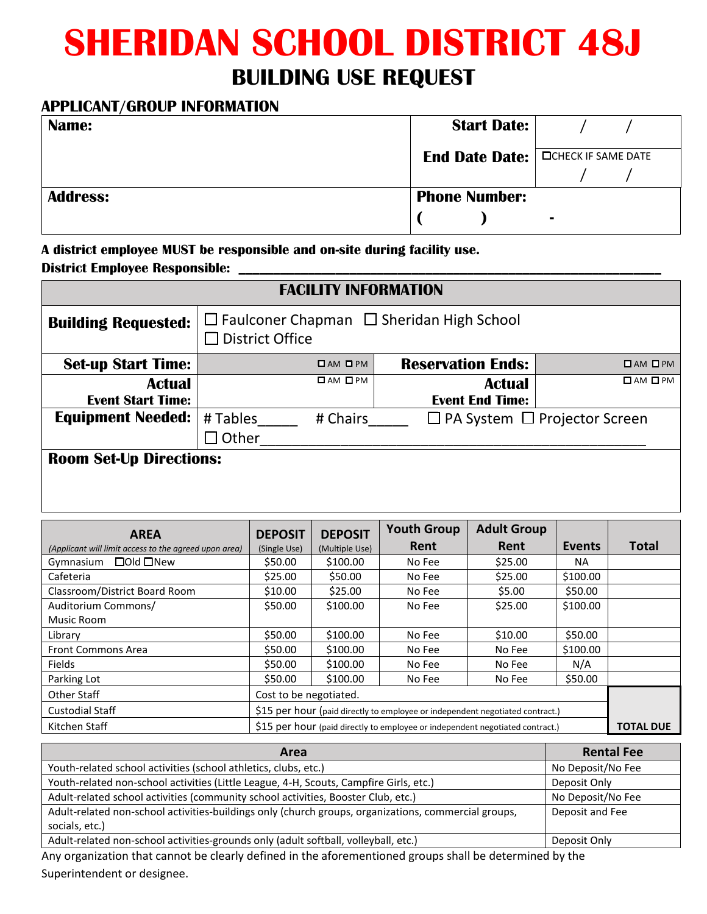## **SHERIDAN SCHOOL DISTRICT 48J BUILDING USE REQUEST**

## **APPLICANT/GROUP INFORMATION**

| Name:           | <b>Start Date:</b>   |                                      |
|-----------------|----------------------|--------------------------------------|
|                 |                      | End Date Date:   OCHECK IF SAME DATE |
|                 |                      |                                      |
| <b>Address:</b> | <b>Phone Number:</b> |                                      |
|                 |                      | $\blacksquare$                       |

**A district employee MUST be responsible and on-site during facility use.** 

**District Employee Responsible: \_\_\_\_\_\_\_\_\_\_\_\_\_\_\_\_\_\_\_\_\_\_\_\_\_\_\_\_\_\_\_\_\_\_\_\_\_\_\_\_\_\_\_\_\_\_\_\_\_\_\_\_\_\_\_\_\_\_\_\_\_**

| <b>FACILITY INFORMATION</b>                           |                                                                                |                |                     |                    |                        |                                          |                     |
|-------------------------------------------------------|--------------------------------------------------------------------------------|----------------|---------------------|--------------------|------------------------|------------------------------------------|---------------------|
| <b>Building Requested:</b>                            | $\Box$ Faulconer Chapman $\Box$ Sheridan High School<br><b>District Office</b> |                |                     |                    |                        |                                          |                     |
| <b>Set-up Start Time:</b>                             | <b>Reservation Ends:</b><br>$\Box$ AM $\Box$ PM                                |                |                     |                    | $\Box$ AM $\Box$ PM    |                                          |                     |
| <b>Actual</b>                                         |                                                                                |                | $\Box$ AM $\Box$ PM |                    | <b>Actual</b>          |                                          | $\Box$ AM $\Box$ PM |
| <b>Event Start Time:</b>                              |                                                                                |                |                     |                    | <b>Event End Time:</b> |                                          |                     |
| <b>Equipment Needed:</b>                              |                                                                                | # Tables       | # Chairs            |                    |                        | $\Box$ PA System $\Box$ Projector Screen |                     |
|                                                       | $\Box$ Other                                                                   |                |                     |                    |                        |                                          |                     |
| <b>Room Set-Up Directions:</b>                        |                                                                                |                |                     |                    |                        |                                          |                     |
| <b>AREA</b>                                           |                                                                                | <b>DEPOSIT</b> | <b>DEPOSIT</b>      | <b>Youth Group</b> | <b>Adult Group</b>     |                                          |                     |
| (Applicant will limit access to the agreed upon area) |                                                                                | (Single Use)   | (Multiple Use)      | Rent               | Rent                   | Events                                   | <b>Total</b>        |
| □ Old □ New<br>Gymnasium                              |                                                                                | \$50.00        | \$100.00            | No Fee             | \$25.00                | <b>NA</b>                                |                     |
| Cafeteria                                             |                                                                                | \$25.00        | \$50.00             | No Fee             | \$25.00                | \$100.00                                 |                     |
| Classroom/District Board Room                         |                                                                                | \$10.00        | \$25.00             | No Fee             | \$5.00                 | \$50.00                                  |                     |
| Auditorium Commons/                                   |                                                                                | \$50.00        | \$100.00            | No Fee             | \$25.00                | \$100.00                                 |                     |
| Music Room                                            |                                                                                |                |                     |                    |                        |                                          |                     |

| <b>AREA</b>                                           | <b>DEPOSIT</b>                                                                | <b>DEPOSIT</b> | TUWWI YIVWA | <b>LAND AIR</b> |                  |              |
|-------------------------------------------------------|-------------------------------------------------------------------------------|----------------|-------------|-----------------|------------------|--------------|
| (Applicant will limit access to the agreed upon area) | (Single Use)                                                                  | (Multiple Use) | Rent        | Rent            | Events           | <b>Total</b> |
| □ Old □ New<br>Gymnasium                              | \$50.00                                                                       | \$100.00       | No Fee      | \$25.00         | NA.              |              |
| Cafeteria                                             | \$25.00                                                                       | \$50.00        | No Fee      | \$25.00         | \$100.00         |              |
| Classroom/District Board Room                         | \$10.00                                                                       | \$25.00        | No Fee      | \$5.00          | \$50.00          |              |
| Auditorium Commons/                                   | \$50.00                                                                       | \$100.00       | No Fee      | \$25.00         | \$100.00         |              |
| Music Room                                            |                                                                               |                |             |                 |                  |              |
| Library                                               | \$50.00                                                                       | \$100.00       | No Fee      | \$10.00         | \$50.00          |              |
| <b>Front Commons Area</b>                             | \$50.00                                                                       | \$100.00       | No Fee      | No Fee          | \$100.00         |              |
| <b>Fields</b>                                         | \$50.00                                                                       | \$100.00       | No Fee      | No Fee          | N/A              |              |
| Parking Lot                                           | \$50.00                                                                       | \$100.00       | No Fee      | No Fee          | \$50.00          |              |
| Other Staff                                           | Cost to be negotiated.                                                        |                |             |                 |                  |              |
| <b>Custodial Staff</b>                                | \$15 per hour (paid directly to employee or independent negotiated contract.) |                |             |                 |                  |              |
| Kitchen Staff                                         | \$15 per hour (paid directly to employee or independent negotiated contract.) |                |             |                 | <b>TOTAL DUE</b> |              |

| Area                                                                                                                                                                                                                             | <b>Rental Fee</b> |
|----------------------------------------------------------------------------------------------------------------------------------------------------------------------------------------------------------------------------------|-------------------|
| Youth-related school activities (school athletics, clubs, etc.)                                                                                                                                                                  | No Deposit/No Fee |
| Youth-related non-school activities (Little League, 4-H, Scouts, Campfire Girls, etc.)                                                                                                                                           | Deposit Only      |
| Adult-related school activities (community school activities, Booster Club, etc.)                                                                                                                                                | No Deposit/No Fee |
| Adult-related non-school activities-buildings only (church groups, organizations, commercial groups,                                                                                                                             | Deposit and Fee   |
| socials, etc.)                                                                                                                                                                                                                   |                   |
| Adult-related non-school activities-grounds only (adult softball, volleyball, etc.)                                                                                                                                              | Deposit Only      |
| $\mathbf{A}$ , and the set of the set of the set of the set of the set of the set of the set of the set of the set of the set of the set of the set of the set of the set of the set of the set of the set of the set of the set |                   |

Any organization that cannot be clearly defined in the aforementioned groups shall be determined by the Superintendent or designee.